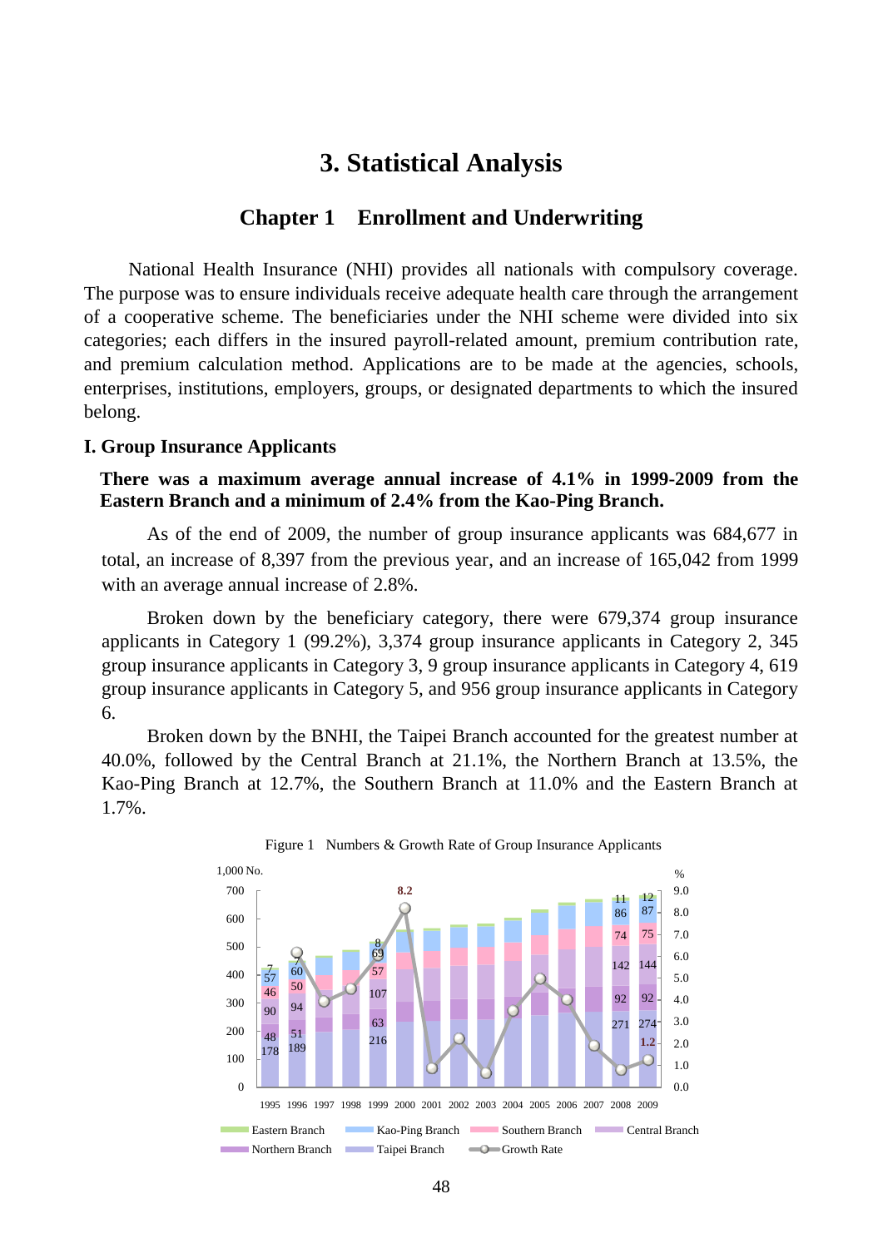# **3. Statistical Analysis**

## **Chapter 1 Enrollment and Underwriting**

National Health Insurance (NHI) provides all nationals with compulsory coverage. The purpose was to ensure individuals receive adequate health care through the arrangement of a cooperative scheme. The beneficiaries under the NHI scheme were divided into six categories; each differs in the insured payroll-related amount, premium contribution rate, and premium calculation method. Applications are to be made at the agencies, schools, enterprises, institutions, employers, groups, or designated departments to which the insured belong.

#### **I. Group Insurance Applicants**

**There was a maximum average annual increase of 4.1% in 1999-2009 from the Eastern Branch and a minimum of 2.4% from the Kao-Ping Branch.** 

As of the end of 2009, the number of group insurance applicants was 684,677 in total, an increase of 8,397 from the previous year, and an increase of 165,042 from 1999 with an average annual increase of 2.8%.

Broken down by the beneficiary category, there were 679,374 group insurance applicants in Category 1 (99.2%), 3,374 group insurance applicants in Category 2, 345 group insurance applicants in Category 3, 9 group insurance applicants in Category 4, 619 group insurance applicants in Category 5, and 956 group insurance applicants in Category 6.

Broken down by the BNHI, the Taipei Branch accounted for the greatest number at 40.0%, followed by the Central Branch at 21.1%, the Northern Branch at 13.5%, the Kao-Ping Branch at 12.7%, the Southern Branch at 11.0% and the Eastern Branch at 1.7%.

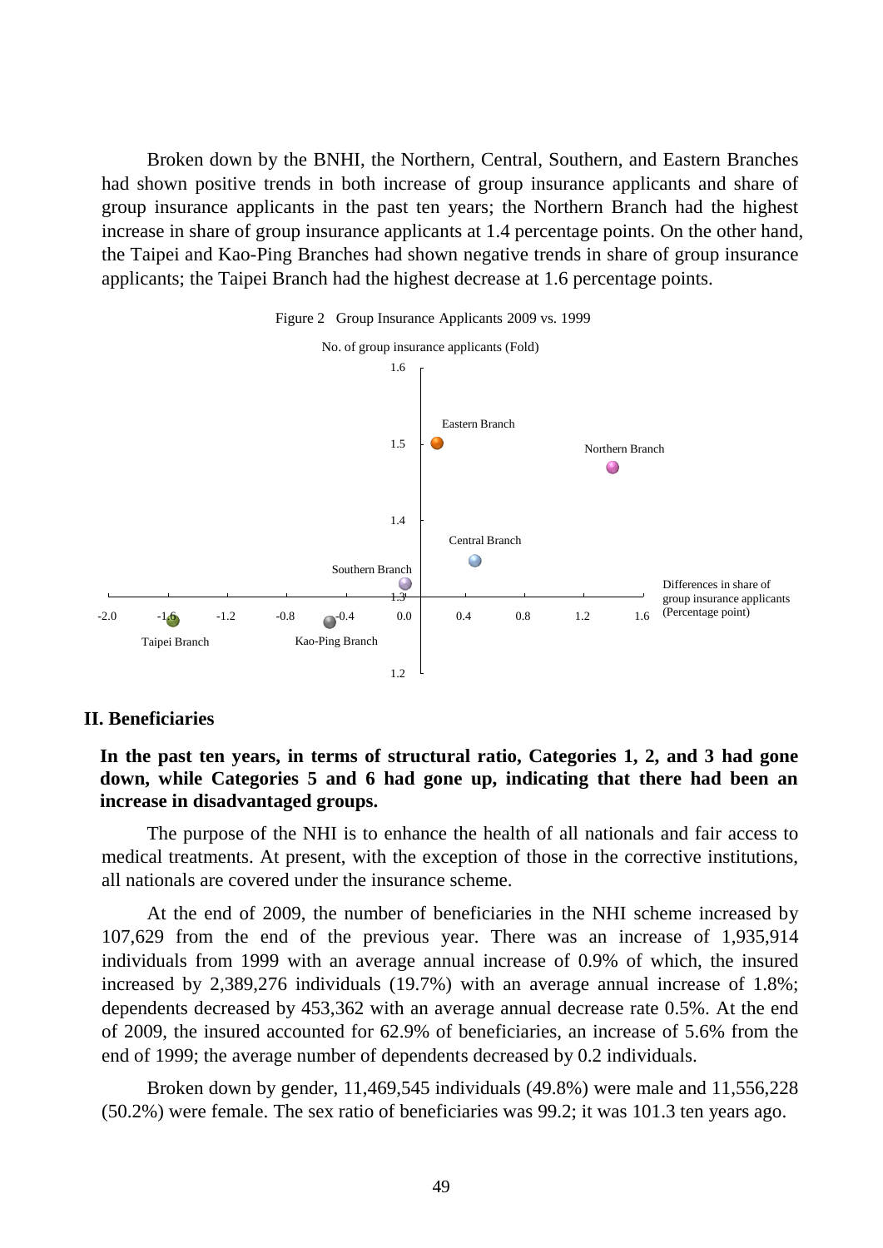Broken down by the BNHI, the Northern, Central, Southern, and Eastern Branches had shown positive trends in both increase of group insurance applicants and share of group insurance applicants in the past ten years; the Northern Branch had the highest increase in share of group insurance applicants at 1.4 percentage points. On the other hand, the Taipei and Kao-Ping Branches had shown negative trends in share of group insurance applicants; the Taipei Branch had the highest decrease at 1.6 percentage points.



#### Figure 2 Group Insurance Applicants 2009 vs. 1999

### **II. Beneficiaries**

**In the past ten years, in terms of structural ratio, Categories 1, 2, and 3 had gone down, while Categories 5 and 6 had gone up, indicating that there had been an increase in disadvantaged groups.** 

The purpose of the NHI is to enhance the health of all nationals and fair access to medical treatments. At present, with the exception of those in the corrective institutions, all nationals are covered under the insurance scheme.

At the end of 2009, the number of beneficiaries in the NHI scheme increased by 107,629 from the end of the previous year. There was an increase of 1,935,914 individuals from 1999 with an average annual increase of 0.9% of which, the insured increased by 2,389,276 individuals (19.7%) with an average annual increase of 1.8%; dependents decreased by 453,362 with an average annual decrease rate 0.5%. At the end of 2009, the insured accounted for 62.9% of beneficiaries, an increase of 5.6% from the end of 1999; the average number of dependents decreased by 0.2 individuals.

Broken down by gender, 11,469,545 individuals (49.8%) were male and 11,556,228 (50.2%) were female. The sex ratio of beneficiaries was 99.2; it was 101.3 ten years ago.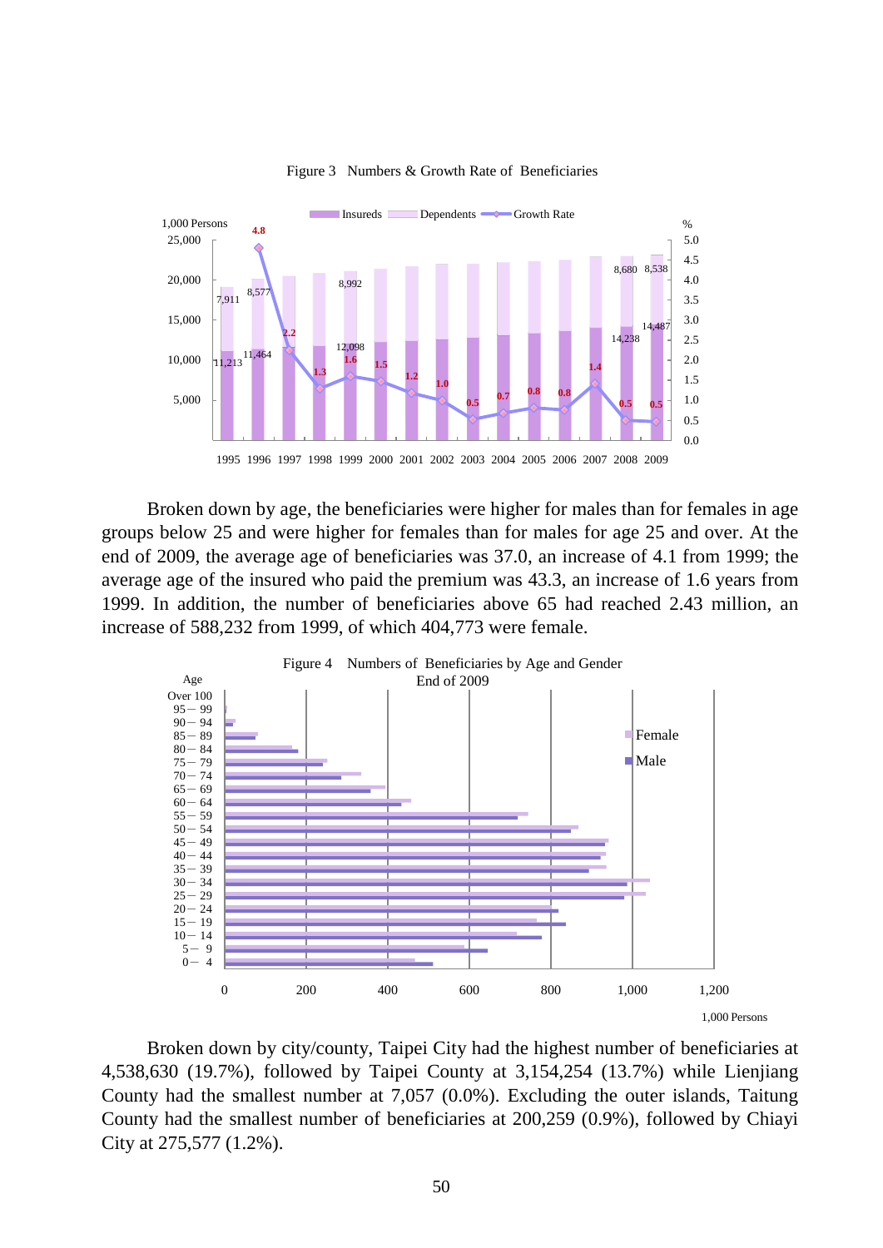

Figure 3 Numbers & Growth Rate of Beneficiaries

Broken down by age, the beneficiaries were higher for males than for females in age groups below 25 and were higher for females than for males for age 25 and over. At the end of 2009, the average age of beneficiaries was 37.0, an increase of 4.1 from 1999; the average age of the insured who paid the premium was 43.3, an increase of 1.6 years from 1999. In addition, the number of beneficiaries above 65 had reached 2.43 million, an increase of 588,232 from 1999, of which 404,773 were female.



Broken down by city/county, Taipei City had the highest number of beneficiaries at 4,538,630 (19.7%), followed by Taipei County at 3,154,254 (13.7%) while Lienjiang County had the smallest number at 7,057 (0.0%). Excluding the outer islands, Taitung County had the smallest number of beneficiaries at 200,259 (0.9%), followed by Chiayi City at 275,577 (1.2%).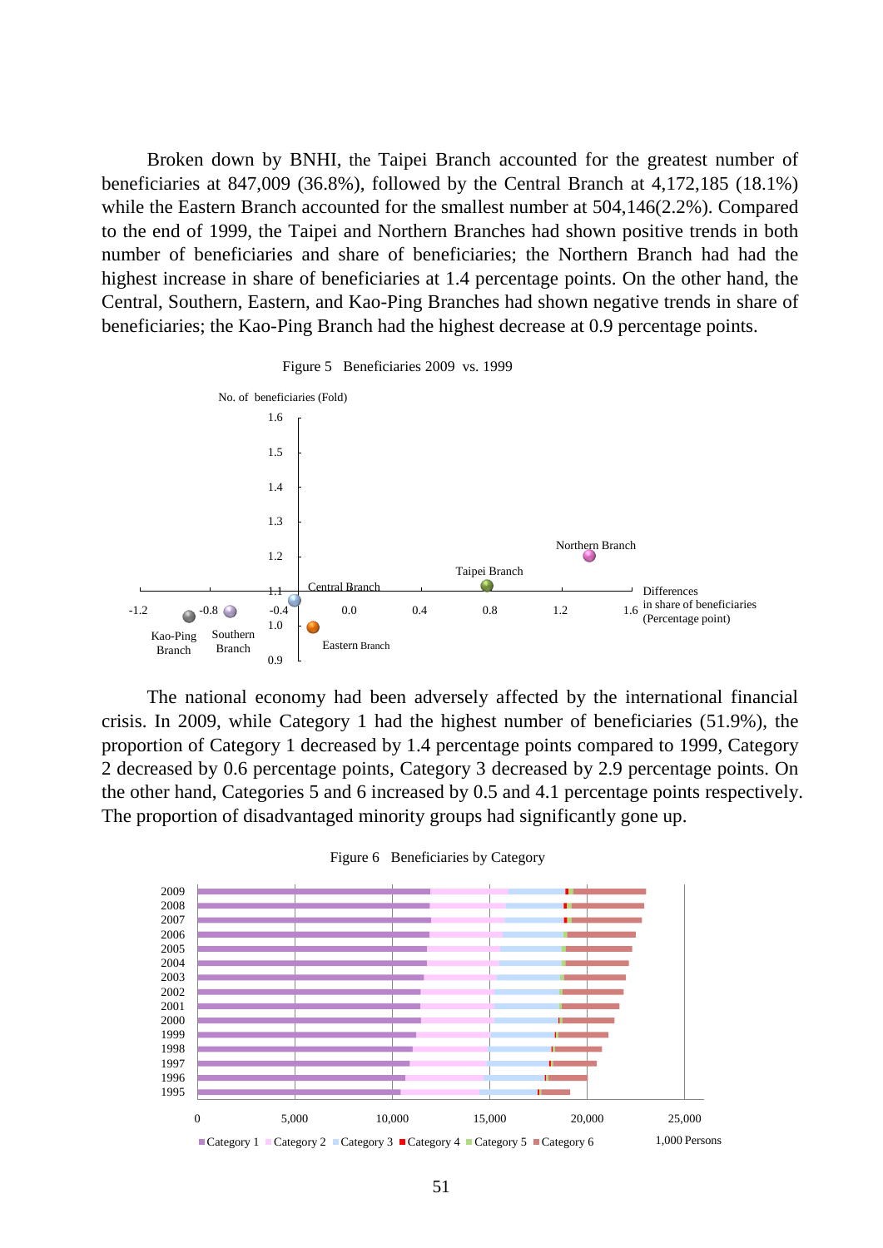Broken down by BNHI, the Taipei Branch accounted for the greatest number of beneficiaries at 847,009 (36.8%), followed by the Central Branch at 4,172,185 (18.1%) while the Eastern Branch accounted for the smallest number at 504,146(2.2%). Compared to the end of 1999, the Taipei and Northern Branches had shown positive trends in both number of beneficiaries and share of beneficiaries; the Northern Branch had had the highest increase in share of beneficiaries at 1.4 percentage points. On the other hand, the Central, Southern, Eastern, and Kao-Ping Branches had shown negative trends in share of beneficiaries; the Kao-Ping Branch had the highest decrease at 0.9 percentage points.





The national economy had been adversely affected by the international financial crisis. In 2009, while Category 1 had the highest number of beneficiaries (51.9%), the proportion of Category 1 decreased by 1.4 percentage points compared to 1999, Category 2 decreased by 0.6 percentage points, Category 3 decreased by 2.9 percentage points. On the other hand, Categories 5 and 6 increased by 0.5 and 4.1 percentage points respectively. The proportion of disadvantaged minority groups had significantly gone up.



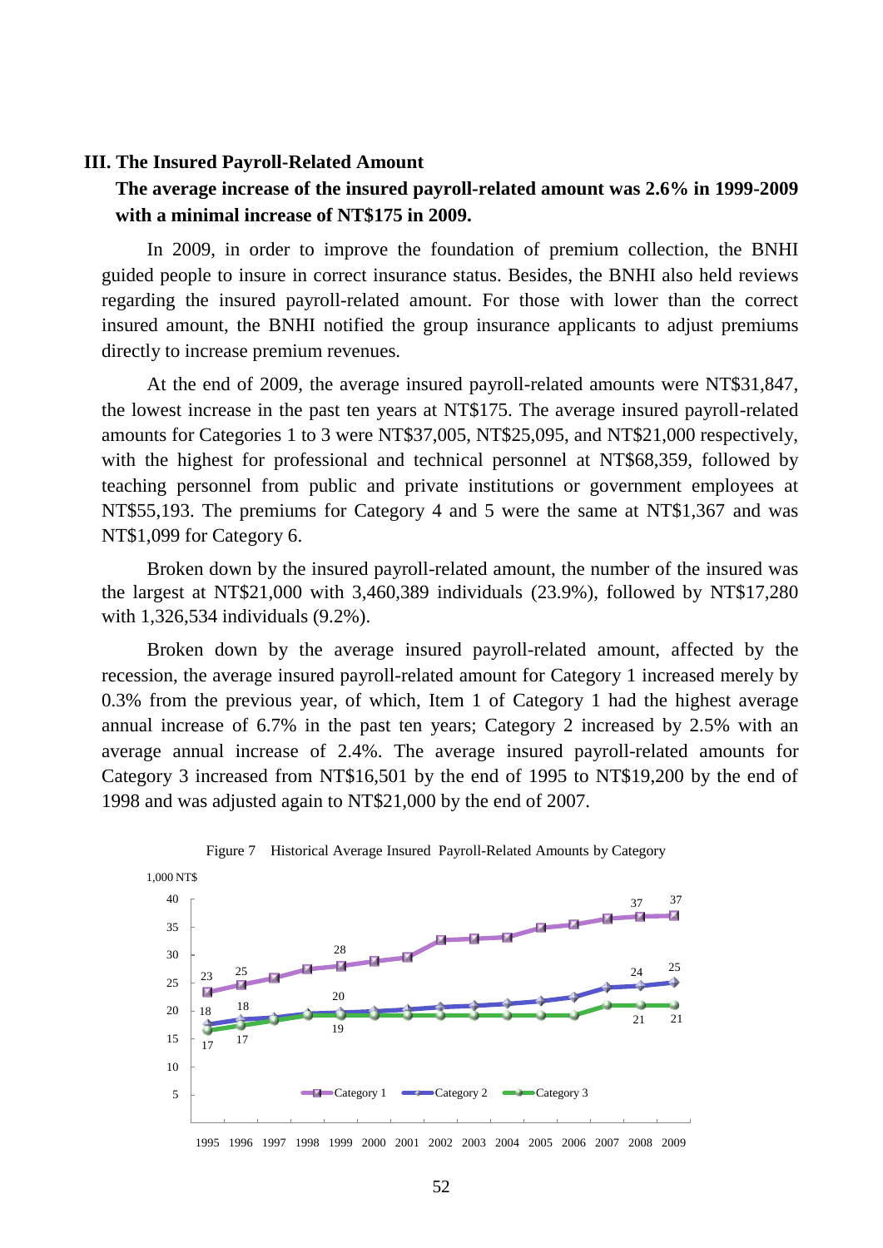#### **III. The Insured Payroll-Related Amount**

# **The average increase of the insured payroll-related amount was 2.6% in 1999-2009 with a minimal increase of NT\$175 in 2009.**

In 2009, in order to improve the foundation of premium collection, the BNHI guided people to insure in correct insurance status. Besides, the BNHI also held reviews regarding the insured payroll-related amount. For those with lower than the correct insured amount, the BNHI notified the group insurance applicants to adjust premiums directly to increase premium revenues.

At the end of 2009, the average insured payroll-related amounts were NT\$31,847, the lowest increase in the past ten years at NT\$175. The average insured payroll-related amounts for Categories 1 to 3 were NT\$37,005, NT\$25,095, and NT\$21,000 respectively, with the highest for professional and technical personnel at NT\$68,359, followed by teaching personnel from public and private institutions or government employees at NT\$55,193. The premiums for Category 4 and 5 were the same at NT\$1,367 and was NT\$1,099 for Category 6.

Broken down by the insured payroll-related amount, the number of the insured was the largest at NT\$21,000 with 3,460,389 individuals (23.9%), followed by NT\$17,280 with 1,326,534 individuals (9.2%).

Broken down by the average insured payroll-related amount, affected by the recession, the average insured payroll-related amount for Category 1 increased merely by 0.3% from the previous year, of which, Item 1 of Category 1 had the highest average annual increase of 6.7% in the past ten years; Category 2 increased by 2.5% with an average annual increase of 2.4%. The average insured payroll-related amounts for Category 3 increased from NT\$16,501 by the end of 1995 to NT\$19,200 by the end of 1998 and was adjusted again to NT\$21,000 by the end of 2007.



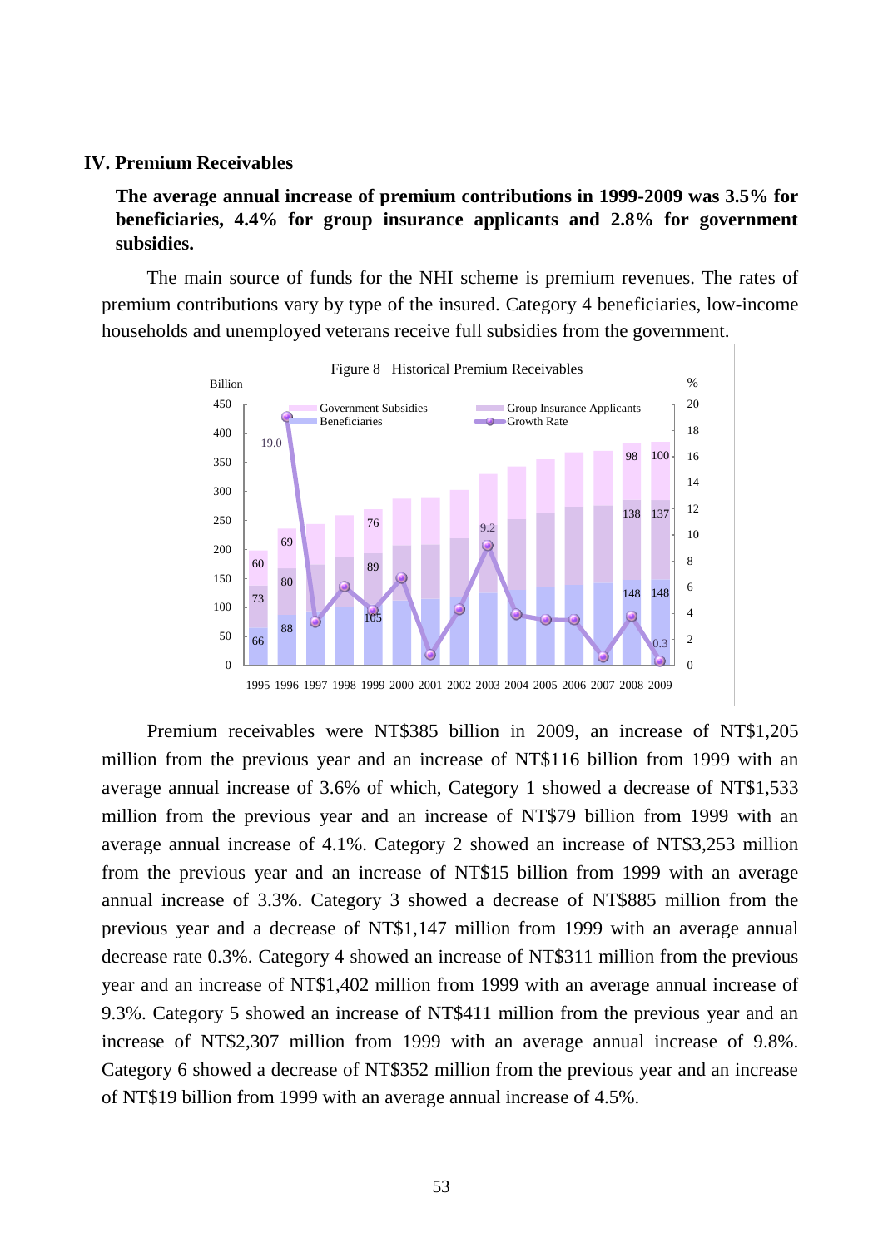#### **IV. Premium Receivables**

**The average annual increase of premium contributions in 1999-2009 was 3.5% for beneficiaries, 4.4% for group insurance applicants and 2.8% for government subsidies.**

The main source of funds for the NHI scheme is premium revenues. The rates of premium contributions vary by type of the insured. Category 4 beneficiaries, low-income households and unemployed veterans receive full subsidies from the government.



Premium receivables were NT\$385 billion in 2009, an increase of NT\$1,205 million from the previous year and an increase of NT\$116 billion from 1999 with an average annual increase of 3.6% of which, Category 1 showed a decrease of NT\$1,533 million from the previous year and an increase of NT\$79 billion from 1999 with an average annual increase of 4.1%. Category 2 showed an increase of NT\$3,253 million from the previous year and an increase of NT\$15 billion from 1999 with an average annual increase of 3.3%. Category 3 showed a decrease of NT\$885 million from the previous year and a decrease of NT\$1,147 million from 1999 with an average annual decrease rate 0.3%. Category 4 showed an increase of NT\$311 million from the previous year and an increase of NT\$1,402 million from 1999 with an average annual increase of 9.3%. Category 5 showed an increase of NT\$411 million from the previous year and an increase of NT\$2,307 million from 1999 with an average annual increase of 9.8%. Category 6 showed a decrease of NT\$352 million from the previous year and an increase of NT\$19 billion from 1999 with an average annual increase of 4.5%.